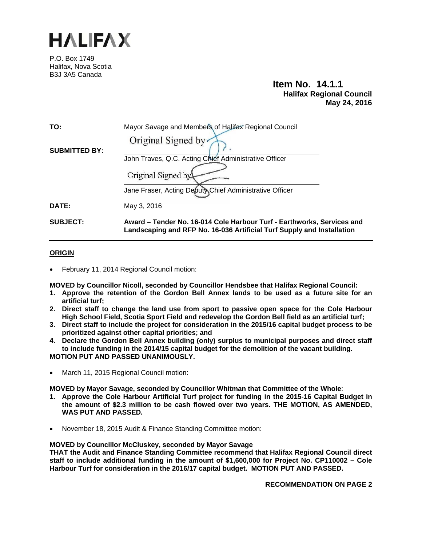

P.O. Box 1749 Halifax, Nova Scotia B3J 3A5 Canada

# **Item No. 14.1.1 Halifax Regional Council May 24, 2016**

| TO:                  | Mayor Savage and Members of Halifax Regional Council                                                                                             |  |  |  |  |
|----------------------|--------------------------------------------------------------------------------------------------------------------------------------------------|--|--|--|--|
|                      | Original Signed by                                                                                                                               |  |  |  |  |
| <b>SUBMITTED BY:</b> | John Traves, Q.C. Acting Chief Administrative Officer                                                                                            |  |  |  |  |
|                      |                                                                                                                                                  |  |  |  |  |
|                      | Original Signed by                                                                                                                               |  |  |  |  |
|                      | Jane Fraser, Acting Deputy Chief Administrative Officer                                                                                          |  |  |  |  |
| DATE:                | May 3, 2016                                                                                                                                      |  |  |  |  |
| <b>SUBJECT:</b>      | Award - Tender No. 16-014 Cole Harbour Turf - Earthworks, Services and<br>Landscaping and RFP No. 16-036 Artificial Turf Supply and Installation |  |  |  |  |

# **ORIGIN**

February 11, 2014 Regional Council motion:

**MOVED by Councillor Nicoll, seconded by Councillor Hendsbee that Halifax Regional Council:** 

- **1. Approve the retention of the Gordon Bell Annex lands to be used as a future site for an artificial turf;**
- **2. Direct staff to change the land use from sport to passive open space for the Cole Harbour High School Field, Scotia Sport Field and redevelop the Gordon Bell field as an artificial turf;**
- **3. Direct staff to include the project for consideration in the 2015/16 capital budget process to be prioritized against other capital priorities; and**
- **4. Declare the Gordon Bell Annex building (only) surplus to municipal purposes and direct staff to include funding in the 2014/15 capital budget for the demolition of the vacant building. MOTION PUT AND PASSED UNANIMOUSLY.**
- March 11, 2015 Regional Council motion:

**MOVED by Mayor Savage, seconded by Councillor Whitman that Committee of the Whole**:

- **1. Approve the Cole Harbour Artificial Turf project for funding in the 2015-16 Capital Budget in the amount of \$2.3 million to be cash flowed over two years. THE MOTION, AS AMENDED, WAS PUT AND PASSED.**
- November 18, 2015 Audit & Finance Standing Committee motion:

# **MOVED by Councillor McCluskey, seconded by Mayor Savage**

**THAT the Audit and Finance Standing Committee recommend that Halifax Regional Council direct staff to include additional funding in the amount of \$1,600,000 for Project No. CP110002 – Cole Harbour Turf for consideration in the 2016/17 capital budget. MOTION PUT AND PASSED.** 

**RECOMMENDATION ON PAGE 2**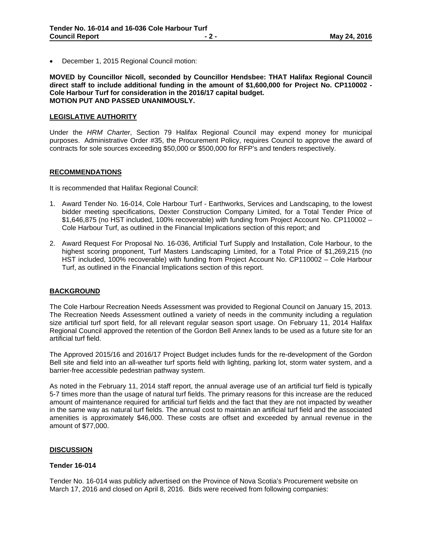December 1, 2015 Regional Council motion:

**MOVED by Councillor Nicoll, seconded by Councillor Hendsbee: THAT Halifax Regional Council direct staff to include additional funding in the amount of \$1,600,000 for Project No. CP110002 - Cole Harbour Turf for consideration in the 2016/17 capital budget. MOTION PUT AND PASSED UNANIMOUSLY.**

## **LEGISLATIVE AUTHORITY**

Under the *HRM Charter*, Section 79 Halifax Regional Council may expend money for municipal purposes. Administrative Order #35, the Procurement Policy, requires Council to approve the award of contracts for sole sources exceeding \$50,000 or \$500,000 for RFP's and tenders respectively.

### **RECOMMENDATIONS**

It is recommended that Halifax Regional Council:

- 1. Award Tender No. 16-014, Cole Harbour Turf Earthworks, Services and Landscaping, to the lowest bidder meeting specifications, Dexter Construction Company Limited, for a Total Tender Price of \$1,646,875 (no HST included, 100% recoverable) with funding from Project Account No. CP110002 – Cole Harbour Turf, as outlined in the Financial Implications section of this report; and
- 2. Award Request For Proposal No. 16-036, Artificial Turf Supply and Installation, Cole Harbour, to the highest scoring proponent, Turf Masters Landscaping Limited, for a Total Price of \$1,269,215 (no HST included, 100% recoverable) with funding from Project Account No. CP110002 – Cole Harbour Turf, as outlined in the Financial Implications section of this report.

# **BACKGROUND**

The Cole Harbour Recreation Needs Assessment was provided to Regional Council on January 15, 2013. The Recreation Needs Assessment outlined a variety of needs in the community including a regulation size artificial turf sport field, for all relevant regular season sport usage. On February 11, 2014 Halifax Regional Council approved the retention of the Gordon Bell Annex lands to be used as a future site for an artificial turf field.

The Approved 2015/16 and 2016/17 Project Budget includes funds for the re-development of the Gordon Bell site and field into an all-weather turf sports field with lighting, parking lot, storm water system, and a barrier-free accessible pedestrian pathway system.

As noted in the February 11, 2014 staff report, the annual average use of an artificial turf field is typically 5-7 times more than the usage of natural turf fields. The primary reasons for this increase are the reduced amount of maintenance required for artificial turf fields and the fact that they are not impacted by weather in the same way as natural turf fields. The annual cost to maintain an artificial turf field and the associated amenities is approximately \$46,000. These costs are offset and exceeded by annual revenue in the amount of \$77,000.

#### **DISCUSSION**

#### **Tender 16-014**

Tender No. 16-014 was publicly advertised on the Province of Nova Scotia's Procurement website on March 17, 2016 and closed on April 8, 2016. Bids were received from following companies: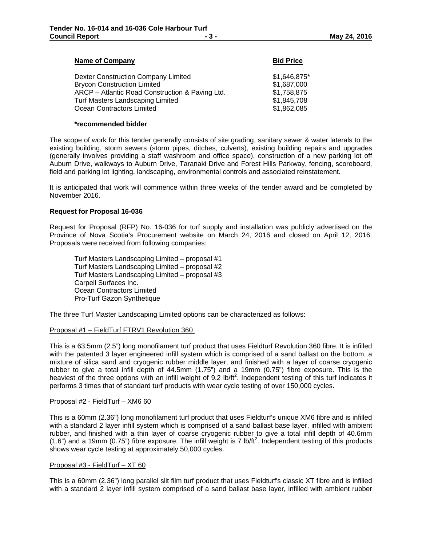# **Name of Company Bid Price Bid Price**

| Dexter Construction Company Limited             | \$1,646,875* |
|-------------------------------------------------|--------------|
| Brycon Construction Limited                     | \$1,687,000  |
| ARCP – Atlantic Road Construction & Paving Ltd. | \$1,758,875  |
| Turf Masters Landscaping Limited                | \$1,845,708  |
| Ocean Contractors Limited                       | \$1,862,085  |
|                                                 |              |

#### **\*recommended bidder**

The scope of work for this tender generally consists of site grading, sanitary sewer & water laterals to the existing building, storm sewers (storm pipes, ditches, culverts), existing building repairs and upgrades (generally involves providing a staff washroom and office space), construction of a new parking lot off Auburn Drive, walkways to Auburn Drive, Taranaki Drive and Forest Hills Parkway, fencing, scoreboard, field and parking lot lighting, landscaping, environmental controls and associated reinstatement.

It is anticipated that work will commence within three weeks of the tender award and be completed by November 2016.

#### **Request for Proposal 16-036**

Request for Proposal (RFP) No. 16-036 for turf supply and installation was publicly advertised on the Province of Nova Scotia's Procurement website on March 24, 2016 and closed on April 12, 2016. Proposals were received from following companies:

Turf Masters Landscaping Limited – proposal #1 Turf Masters Landscaping Limited – proposal #2 Turf Masters Landscaping Limited – proposal #3 Carpell Surfaces Inc. Ocean Contractors Limited Pro-Turf Gazon Synthetique

The three Turf Master Landscaping Limited options can be characterized as follows:

#### Proposal #1 – FieldTurf FTRV1 Revolution 360

This is a 63.5mm (2.5") long monofilament turf product that uses Fieldturf Revolution 360 fibre. It is infilled with the patented 3 layer engineered infill system which is comprised of a sand ballast on the bottom, a mixture of silica sand and cryogenic rubber middle layer, and finished with a layer of coarse cryogenic rubber to give a total infill depth of 44.5mm (1.75") and a 19mm (0.75") fibre exposure. This is the heaviest of the three options with an infill weight of  $9.2$  lb/ft<sup>2</sup>. Independent testing of this turf indicates it performs 3 times that of standard turf products with wear cycle testing of over 150,000 cycles.

#### Proposal #2 - FieldTurf – XM6 60

This is a 60mm (2.36") long monofilament turf product that uses Fieldturf's unique XM6 fibre and is infilled with a standard 2 layer infill system which is comprised of a sand ballast base layer, infilled with ambient rubber, and finished with a thin layer of coarse cryogenic rubber to give a total infill depth of 40.6mm  $(1.6)$  and a 19mm  $(0.75)$  fibre exposure. The infill weight is 7 lb/ft<sup>2</sup>. Independent testing of this products shows wear cycle testing at approximately 50,000 cycles.

#### Proposal #3 - FieldTurf – XT 60

This is a 60mm (2.36") long parallel slit film turf product that uses Fieldturf's classic XT fibre and is infilled with a standard 2 layer infill system comprised of a sand ballast base layer, infilled with ambient rubber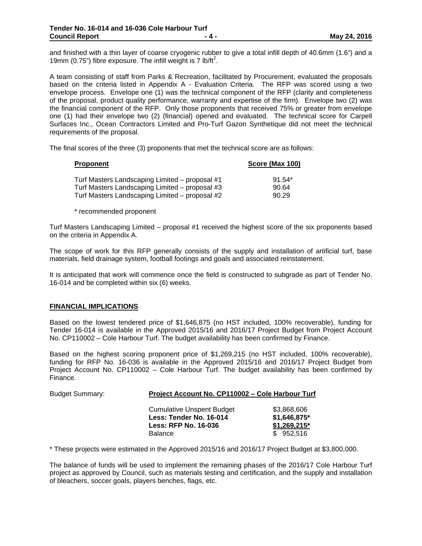and finished with a thin layer of coarse cryogenic rubber to give a total infill depth of 40.6mm (1.6") and a 19mm (0.75") fibre exposure. The infill weight is 7 lb/ft<sup>2</sup>.

A team consisting of staff from Parks & Recreation, facilitated by Procurement, evaluated the proposals based on the criteria listed in Appendix A - Evaluation Criteria. The RFP was scored using a two envelope process. Envelope one (1) was the technical component of the RFP (clarity and completeness of the proposal, product quality performance, warranty and expertise of the firm). Envelope two (2) was the financial component of the RFP. Only those proponents that received 75% or greater from envelope one (1) had their envelope two (2) (financial) opened and evaluated. The technical score for Carpell Surfaces Inc., Ocean Contractors Limited and Pro-Turf Gazon Synthetique did not meet the technical requirements of the proposal.

The final scores of the three (3) proponents that met the technical score are as follows:

| <b>Proponent</b>                               | Score (Max 100) |
|------------------------------------------------|-----------------|
| Turf Masters Landscaping Limited – proposal #1 | $91.54*$        |
| Turf Masters Landscaping Limited – proposal #3 | 90.64           |
| Turf Masters Landscaping Limited – proposal #2 | 90.29           |

\* recommended proponent

Turf Masters Landscaping Limited – proposal #1 received the highest score of the six proponents based on the criteria in Appendix A.

The scope of work for this RFP generally consists of the supply and installation of artificial turf, base materials, field drainage system, football footings and goals and associated reinstatement.

It is anticipated that work will commence once the field is constructed to subgrade as part of Tender No. 16-014 and be completed within six (6) weeks.

# **FINANCIAL IMPLICATIONS**

Based on the lowest tendered price of \$1,646,875 (no HST included, 100% recoverable), funding for Tender 16-014 is available in the Approved 2015/16 and 2016/17 Project Budget from Project Account No. CP110002 – Cole Harbour Turf. The budget availability has been confirmed by Finance.

Based on the highest scoring proponent price of \$1,269,215 (no HST included, 100% recoverable), funding for RFP No. 16-036 is available in the Approved 2015/16 and 2016/17 Project Budget from Project Account No. CP110002 – Cole Harbour Turf. The budget availability has been confirmed by Finance.

| <b>Budget Summary:</b> | Project Account No. CP110002 - Cole Harbour Turf                                                             |                                                            |  |  |  |
|------------------------|--------------------------------------------------------------------------------------------------------------|------------------------------------------------------------|--|--|--|
|                        | <b>Cumulative Unspent Budget</b><br>Less: Tender No. 16-014<br><b>Less: RFP No. 16-036</b><br><b>Balance</b> | \$3,868,606<br>\$1,646,875*<br>$$1,269,215$ *<br>\$952.516 |  |  |  |

\* These projects were estimated in the Approved 2015/16 and 2016/17 Project Budget at \$3,800,000.

The balance of funds will be used to implement the remaining phases of the 2016/17 Cole Harbour Turf project as approved by Council, such as materials testing and certification, and the supply and installation of bleachers, soccer goals, players benches, flags, etc.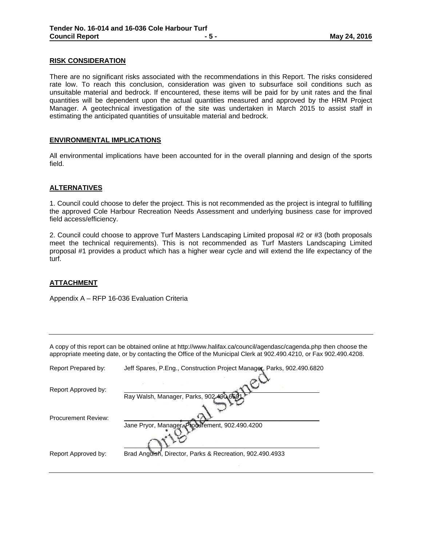### **RISK CONSIDERATION**

There are no significant risks associated with the recommendations in this Report. The risks considered rate low. To reach this conclusion, consideration was given to subsurface soil conditions such as unsuitable material and bedrock. If encountered, these items will be paid for by unit rates and the final quantities will be dependent upon the actual quantities measured and approved by the HRM Project Manager. A geotechnical investigation of the site was undertaken in March 2015 to assist staff in estimating the anticipated quantities of unsuitable material and bedrock.

## **ENVIRONMENTAL IMPLICATIONS**

All environmental implications have been accounted for in the overall planning and design of the sports field.

### **ALTERNATIVES**

1. Council could choose to defer the project. This is not recommended as the project is integral to fulfilling the approved Cole Harbour Recreation Needs Assessment and underlying business case for improved field access/efficiency.

2. Council could choose to approve Turf Masters Landscaping Limited proposal #2 or #3 (both proposals meet the technical requirements). This is not recommended as Turf Masters Landscaping Limited proposal #1 provides a product which has a higher wear cycle and will extend the life expectancy of the turf.

#### **ATTACHMENT**

Appendix A – RFP 16-036 Evaluation Criteria

A copy of this report can be obtained online at http://www.halifax.ca/council/agendasc/cagenda.php then choose the appropriate meeting date, or by contacting the Office of the Municipal Clerk at 902.490.4210, or Fax 902.490.4208.

| Report Prepared by:        | Jeff Spares, P.Eng., Construction Project Manager, Parks, 902.490.6820 |
|----------------------------|------------------------------------------------------------------------|
| Report Approved by:        | Ray Walsh, Manager, Parks, 902-490-6591                                |
|                            |                                                                        |
| <b>Procurement Review:</b> | Jane Pryor, Manager, Produrement, 902.490.4200                         |
|                            |                                                                        |
| Report Approved by:        | Brad Anguish, Director, Parks & Recreation, 902.490.4933               |
|                            |                                                                        |